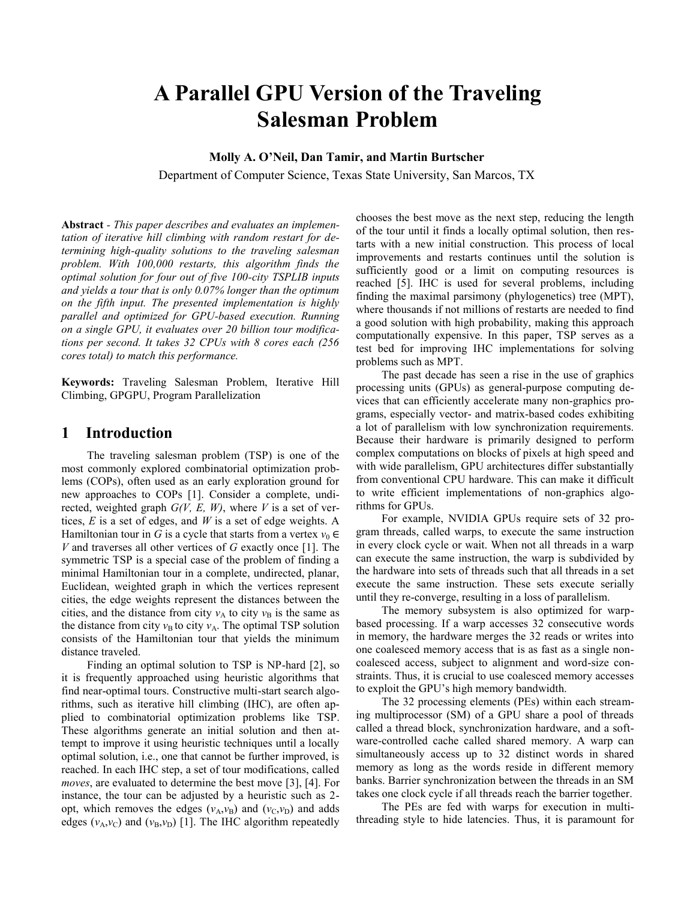# **A Parallel GPU Version of the Traveling Salesman Problem**

**Molly A. O'Neil, Dan Tamir, and Martin Burtscher**

Department of Computer Science, Texas State University, San Marcos, TX

**Abstract** *- This paper describes and evaluates an implementation of iterative hill climbing with random restart for determining high-quality solutions to the traveling salesman problem. With 100,000 restarts, this algorithm finds the optimal solution for four out of five 100-city TSPLIB inputs and yields a tour that is only 0.07% longer than the optimum on the fifth input. The presented implementation is highly parallel and optimized for GPU-based execution. Running on a single GPU, it evaluates over 20 billion tour modifications per second. It takes 32 CPUs with 8 cores each (256 cores total) to match this performance.*

**Keywords:** Traveling Salesman Problem, Iterative Hill Climbing, GPGPU, Program Parallelization

#### **1 Introduction**

The traveling salesman problem (TSP) is one of the most commonly explored combinatorial optimization problems (COPs), often used as an early exploration ground for new approaches to COPs [\[1\].](#page-5-0) Consider a complete, undirected, weighted graph  $G(V, E, W)$ , where V is a set of vertices, *E* is a set of edges, and *W* is a set of edge weights. A Hamiltonian tour in *G* is a cycle that starts from a vertex  $v_0 \in$ *V* and traverses all other vertices of *G* exactly once [\[1\].](#page-5-0) The symmetric TSP is a special case of the problem of finding a minimal Hamiltonian tour in a complete, undirected, planar, Euclidean, weighted graph in which the vertices represent cities, the edge weights represent the distances between the cities, and the distance from city  $v_A$  to city  $v_B$  is the same as the distance from city  $v_B$  to city  $v_A$ . The optimal TSP solution consists of the Hamiltonian tour that yields the minimum distance traveled.

Finding an optimal solution to TSP is NP-hard [\[2\],](#page-5-1) so it is frequently approached using heuristic algorithms that find near-optimal tours. Constructive multi-start search algorithms, such as iterative hill climbing (IHC), are often applied to combinatorial optimization problems like TSP. These algorithms generate an initial solution and then attempt to improve it using heuristic techniques until a locally optimal solution, i.e., one that cannot be further improved, is reached. In each IHC step, a set of tour modifications, called *moves*, are evaluated to determine the best move [\[3\],](#page-5-2) [\[4\].](#page-5-3) For instance, the tour can be adjusted by a heuristic such as 2 opt, which removes the edges  $(v_A, v_B)$  and  $(v_C, v_D)$  and adds edges  $(v_A, v_C)$  and  $(v_B, v_D)$  [\[1\].](#page-5-0) The IHC algorithm repeatedly chooses the best move as the next step, reducing the length of the tour until it finds a locally optimal solution, then restarts with a new initial construction. This process of local improvements and restarts continues until the solution is sufficiently good or a limit on computing resources is reached [\[5\].](#page-5-4) IHC is used for several problems, including finding the maximal parsimony (phylogenetics) tree (MPT), where thousands if not millions of restarts are needed to find a good solution with high probability, making this approach computationally expensive. In this paper, TSP serves as a test bed for improving IHC implementations for solving problems such as MPT.

The past decade has seen a rise in the use of graphics processing units (GPUs) as general-purpose computing devices that can efficiently accelerate many non-graphics programs, especially vector- and matrix-based codes exhibiting a lot of parallelism with low synchronization requirements. Because their hardware is primarily designed to perform complex computations on blocks of pixels at high speed and with wide parallelism, GPU architectures differ substantially from conventional CPU hardware. This can make it difficult to write efficient implementations of non-graphics algorithms for GPUs.

For example, NVIDIA GPUs require sets of 32 program threads, called warps, to execute the same instruction in every clock cycle or wait. When not all threads in a warp can execute the same instruction, the warp is subdivided by the hardware into sets of threads such that all threads in a set execute the same instruction. These sets execute serially until they re-converge, resulting in a loss of parallelism.

The memory subsystem is also optimized for warpbased processing. If a warp accesses 32 consecutive words in memory, the hardware merges the 32 reads or writes into one coalesced memory access that is as fast as a single noncoalesced access, subject to alignment and word-size constraints. Thus, it is crucial to use coalesced memory accesses to exploit the GPU's high memory bandwidth.

The 32 processing elements (PEs) within each streaming multiprocessor (SM) of a GPU share a pool of threads called a thread block, synchronization hardware, and a software-controlled cache called shared memory. A warp can simultaneously access up to 32 distinct words in shared memory as long as the words reside in different memory banks. Barrier synchronization between the threads in an SM takes one clock cycle if all threads reach the barrier together.

The PEs are fed with warps for execution in multithreading style to hide latencies. Thus, it is paramount for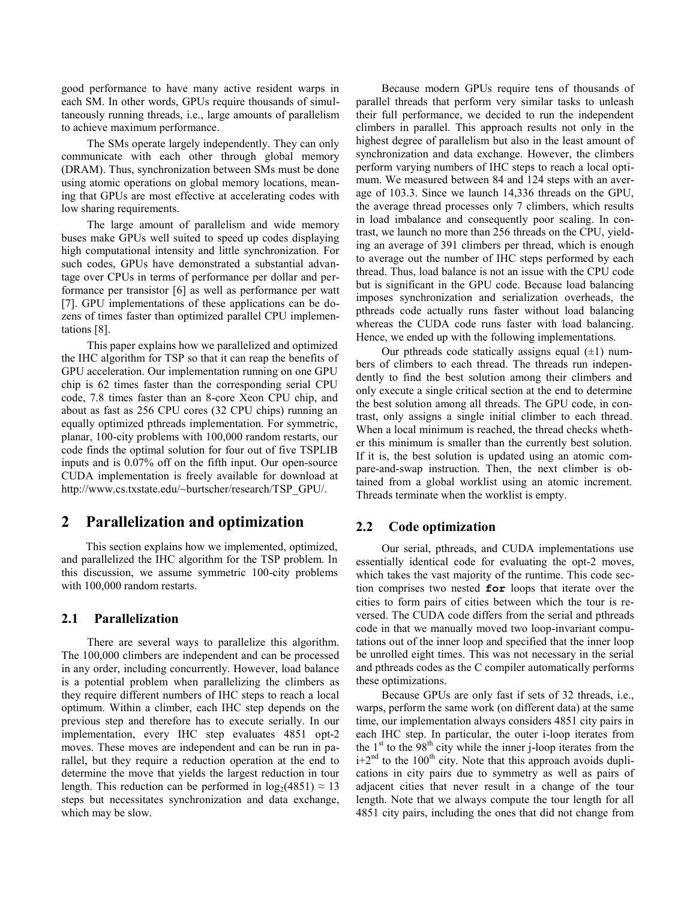good performance to have many active resident warps in each SM. In other words, GPUs require thousands of simultaneously running threads, i.e., large amounts of parallelism to achieve maximum performance.

The SMs operate largely independently. They can only communicate with each other through global memory (DRAM). Thus, synchronization between SMs must be done using atomic operations on global memory locations, meaning that GPUs are most effective at accelerating codes with low sharing requirements.

The large amount of parallelism and wide memory buses make GPUs well suited to speed up codes displaying high computational intensity and little synchronization. For such codes, GPUs have demonstrated a substantial advantage over CPUs in terms of performance per dollar and performance per transistor [\[6\]](#page-5-5) as well as performance per watt [\[7\].](#page-5-6) GPU implementations of these applications can be dozens of times faster than optimized parallel CPU implementations [\[8\].](#page-5-7)

This paper explains how we parallelized and optimized the IHC algorithm for TSP so that it can reap the benefits of GPU acceleration. Our implementation running on one GPU chip is 62 times faster than the corresponding serial CPU code, 7.8 times faster than an 8-core Xeon CPU chip, and about as fast as 256 CPU cores (32 CPU chips) running an equally optimized pthreads implementation. For symmetric, planar, 100-city problems with 100,000 random restarts, our code finds the optimal solution for four out of five TSPLIB inputs and is 0.07% off on the fifth input. Our open-source CUDA implementation is freely available for download at http://www.cs.txstate.edu/~burtscher/research/TSP\_GPU/.

#### **2 Parallelization and optimization**

This section explains how we implemented, optimized, and parallelized the IHC algorithm for the TSP problem. In this discussion, we assume symmetric 100-city problems with 100,000 random restarts.

#### **2.1 Parallelization**

There are several ways to parallelize this algorithm. The 100,000 climbers are independent and can be processed in any order, including concurrently. However, load balance is a potential problem when parallelizing the climbers as they require different numbers of IHC steps to reach a local optimum. Within a climber, each IHC step depends on the previous step and therefore has to execute serially. In our implementation, every IHC step evaluates 4851 opt-2 moves. These moves are independent and can be run in parallel, but they require a reduction operation at the end to determine the move that yields the largest reduction in tour length. This reduction can be performed in  $log_2(4851) \approx 13$ steps but necessitates synchronization and data exchange, which may be slow.

Because modern GPUs require tens of thousands of parallel threads that perform very similar tasks to unleash their full performance, we decided to run the independent climbers in parallel. This approach results not only in the highest degree of parallelism but also in the least amount of synchronization and data exchange. However, the climbers perform varying numbers of IHC steps to reach a local optimum. We measured between 84 and 124 steps with an average of 103.3. Since we launch 14,336 threads on the GPU, the average thread processes only 7 climbers, which results in load imbalance and consequently poor scaling. In contrast, we launch no more than 256 threads on the CPU, yielding an average of 391 climbers per thread, which is enough to average out the number of IHC steps performed by each thread. Thus, load balance is not an issue with the CPU code but is significant in the GPU code. Because load balancing imposes synchronization and serialization overheads, the pthreads code actually runs faster without load balancing whereas the CUDA code runs faster with load balancing. Hence, we ended up with the following implementations.

Our pthreads code statically assigns equal  $(\pm 1)$  numbers of climbers to each thread. The threads run independently to find the best solution among their climbers and only execute a single critical section at the end to determine the best solution among all threads. The GPU code, in contrast, only assigns a single initial climber to each thread. When a local minimum is reached, the thread checks whether this minimum is smaller than the currently best solution. If it is, the best solution is updated using an atomic compare-and-swap instruction. Then, the next climber is obtained from a global worklist using an atomic increment. Threads terminate when the worklist is empty.

#### **2.2 Code optimization**

Our serial, pthreads, and CUDA implementations use essentially identical code for evaluating the opt-2 moves, which takes the vast majority of the runtime. This code section comprises two nested **for** loops that iterate over the cities to form pairs of cities between which the tour is reversed. The CUDA code differs from the serial and pthreads code in that we manually moved two loop-invariant computations out of the inner loop and specified that the inner loop be unrolled eight times. This was not necessary in the serial and pthreads codes as the C compiler automatically performs these optimizations.

Because GPUs are only fast if sets of 32 threads, i.e., warps, perform the same work (on different data) at the same time, our implementation always considers 4851 city pairs in each IHC step. In particular, the outer i-loop iterates from the  $1<sup>st</sup>$  to the  $98<sup>th</sup>$  city while the inner j-loop iterates from the  $i+2<sup>nd</sup>$  to the 100<sup>th</sup> city. Note that this approach avoids duplications in city pairs due to symmetry as well as pairs of adjacent cities that never result in a change of the tour length. Note that we always compute the tour length for all 4851 city pairs, including the ones that did not change from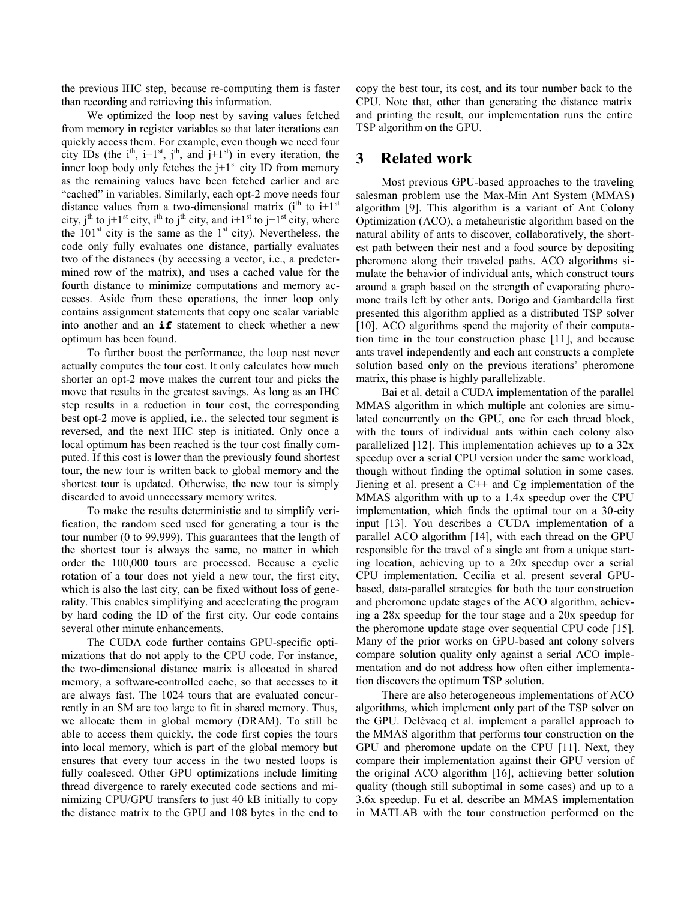the previous IHC step, because re-computing them is faster than recording and retrieving this information.

We optimized the loop nest by saving values fetched from memory in register variables so that later iterations can quickly access them. For example, even though we need four city IDs (the  $i<sup>th</sup>$ ,  $i+1<sup>st</sup>$ ,  $j<sup>th</sup>$ , and  $j+1<sup>st</sup>$ ) in every iteration, the inner loop body only fetches the  $j+1$ <sup>st</sup> city ID from memory as the remaining values have been fetched earlier and are "cached" in variables. Similarly, each opt-2 move needs four distance values from a two-dimensional matrix  $(i<sup>th</sup> to i+1<sup>st</sup>)$ city,  $j^{th}$  to  $j+1^{st}$  city,  $i^{th}$  to  $j^{th}$  city, and  $i+1^{st}$  to  $j+1^{st}$  city, where the  $101<sup>st</sup>$  city is the same as the  $1<sup>st</sup>$  city). Nevertheless, the code only fully evaluates one distance, partially evaluates two of the distances (by accessing a vector, i.e., a predetermined row of the matrix), and uses a cached value for the fourth distance to minimize computations and memory accesses. Aside from these operations, the inner loop only contains assignment statements that copy one scalar variable into another and an **if** statement to check whether a new optimum has been found.

To further boost the performance, the loop nest never actually computes the tour cost. It only calculates how much shorter an opt-2 move makes the current tour and picks the move that results in the greatest savings. As long as an IHC step results in a reduction in tour cost, the corresponding best opt-2 move is applied, i.e., the selected tour segment is reversed, and the next IHC step is initiated. Only once a local optimum has been reached is the tour cost finally computed. If this cost is lower than the previously found shortest tour, the new tour is written back to global memory and the shortest tour is updated. Otherwise, the new tour is simply discarded to avoid unnecessary memory writes.

To make the results deterministic and to simplify verification, the random seed used for generating a tour is the tour number (0 to 99,999). This guarantees that the length of the shortest tour is always the same, no matter in which order the 100,000 tours are processed. Because a cyclic rotation of a tour does not yield a new tour, the first city, which is also the last city, can be fixed without loss of generality. This enables simplifying and accelerating the program by hard coding the ID of the first city. Our code contains several other minute enhancements.

The CUDA code further contains GPU-specific optimizations that do not apply to the CPU code. For instance, the two-dimensional distance matrix is allocated in shared memory, a software-controlled cache, so that accesses to it are always fast. The 1024 tours that are evaluated concurrently in an SM are too large to fit in shared memory. Thus, we allocate them in global memory (DRAM). To still be able to access them quickly, the code first copies the tours into local memory, which is part of the global memory but ensures that every tour access in the two nested loops is fully coalesced. Other GPU optimizations include limiting thread divergence to rarely executed code sections and minimizing CPU/GPU transfers to just 40 kB initially to copy the distance matrix to the GPU and 108 bytes in the end to copy the best tour, its cost, and its tour number back to the CPU. Note that, other than generating the distance matrix and printing the result, our implementation runs the entire TSP algorithm on the GPU.

#### **3 Related work**

Most previous GPU-based approaches to the traveling salesman problem use the Max-Min Ant System (MMAS) algorithm [\[9\].](#page-5-8) This algorithm is a variant of Ant Colony Optimization (ACO), a metaheuristic algorithm based on the natural ability of ants to discover, collaboratively, the shortest path between their nest and a food source by depositing pheromone along their traveled paths. ACO algorithms simulate the behavior of individual ants, which construct tours around a graph based on the strength of evaporating pheromone trails left by other ants. Dorigo and Gambardella first presented this algorithm applied as a distributed TSP solver [\[10\].](#page-5-9) ACO algorithms spend the majority of their computation time in the tour construction phase [\[11\],](#page-5-10) and because ants travel independently and each ant constructs a complete solution based only on the previous iterations' pheromone matrix, this phase is highly parallelizable.

Bai et al. detail a CUDA implementation of the parallel MMAS algorithm in which multiple ant colonies are simulated concurrently on the GPU, one for each thread block, with the tours of individual ants within each colony also parallelized [\[12\].](#page-5-11) This implementation achieves up to a 32x speedup over a serial CPU version under the same workload, though without finding the optimal solution in some cases. Jiening et al. present a  $C++$  and  $Cg$  implementation of the MMAS algorithm with up to a 1.4x speedup over the CPU implementation, which finds the optimal tour on a 30-city input [\[13\].](#page-5-12) You describes a CUDA implementation of a parallel ACO algorithm [\[14\],](#page-5-13) with each thread on the GPU responsible for the travel of a single ant from a unique starting location, achieving up to a 20x speedup over a serial CPU implementation. Cecilia et al. present several GPUbased, data-parallel strategies for both the tour construction and pheromone update stages of the ACO algorithm, achieving a 28x speedup for the tour stage and a 20x speedup for the pheromone update stage over sequential CPU code [\[15\].](#page-5-14) Many of the prior works on GPU-based ant colony solvers compare solution quality only against a serial ACO implementation and do not address how often either implementation discovers the optimum TSP solution.

There are also heterogeneous implementations of ACO algorithms, which implement only part of the TSP solver on the GPU. Delévacq et al. implement a parallel approach to the MMAS algorithm that performs tour construction on the GPU and pheromone update on the CPU [\[11\].](#page-5-10) Next, they compare their implementation against their GPU version of the original ACO algorithm [\[16\],](#page-5-15) achieving better solution quality (though still suboptimal in some cases) and up to a 3.6x speedup. Fu et al. describe an MMAS implementation in MATLAB with the tour construction performed on the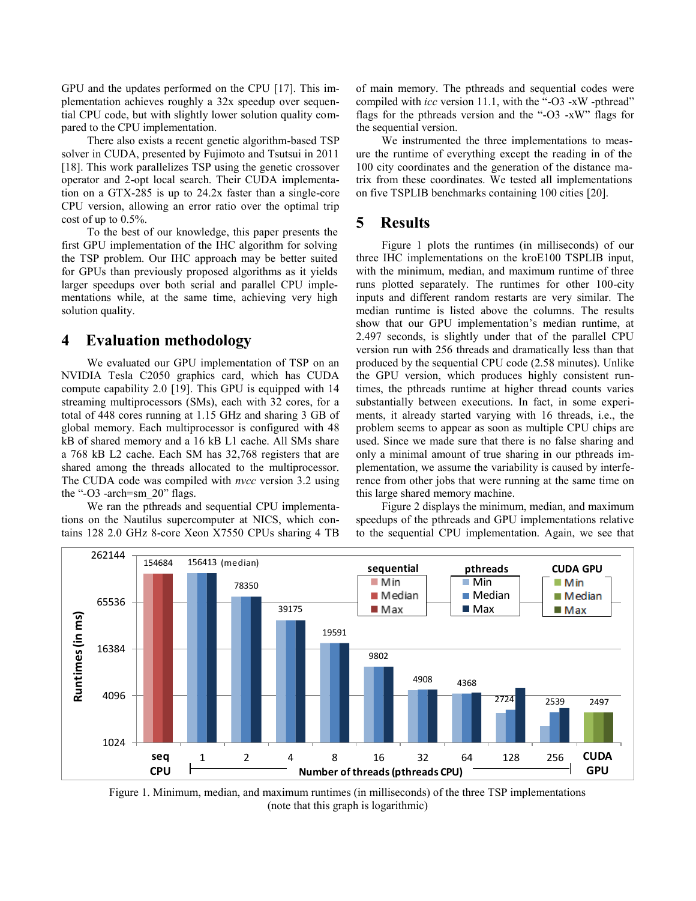GPU and the updates performed on the CPU [\[17\].](#page-5-16) This implementation achieves roughly a 32x speedup over sequential CPU code, but with slightly lower solution quality compared to the CPU implementation.

There also exists a recent genetic algorithm-based TSP solver in CUDA, presented by Fujimoto and Tsutsui in 2011 [\[18\].](#page-5-17) This work parallelizes TSP using the genetic crossover operator and 2-opt local search. Their CUDA implementation on a GTX-285 is up to 24.2x faster than a single-core CPU version, allowing an error ratio over the optimal trip cost of up to 0.5%.

To the best of our knowledge, this paper presents the first GPU implementation of the IHC algorithm for solving the TSP problem. Our IHC approach may be better suited for GPUs than previously proposed algorithms as it yields larger speedups over both serial and parallel CPU implementations while, at the same time, achieving very high solution quality.

#### **4 Evaluation methodology**

We evaluated our GPU implementation of TSP on an NVIDIA Tesla C2050 graphics card, which has CUDA compute capability 2.0 [\[19\].](#page-5-18) This GPU is equipped with 14 streaming multiprocessors (SMs), each with 32 cores, for a total of 448 cores running at 1.15 GHz and sharing 3 GB of global memory. Each multiprocessor is configured with 48 kB of shared memory and a 16 kB L1 cache. All SMs share a 768 kB L2 cache. Each SM has 32,768 registers that are shared among the threads allocated to the multiprocessor. The CUDA code was compiled with *nvcc* version 3.2 using the "-O3 -arch=sm\_20" flags.

We ran the pthreads and sequential CPU implementations on the Nautilus supercomputer at NICS, which contains 128 2.0 GHz 8-core Xeon X7550 CPUs sharing 4 TB of main memory. The pthreads and sequential codes were compiled with *icc* version 11.1, with the "-O3 -xW -pthread" flags for the pthreads version and the "-O3 -xW" flags for the sequential version.

We instrumented the three implementations to measure the runtime of everything except the reading in of the 100 city coordinates and the generation of the distance matrix from these coordinates. We tested all implementations on five TSPLIB benchmarks containing 100 cities [\[20\].](#page-5-19)

#### **5 Results**

[Figure 1](#page-3-0) plots the runtimes (in milliseconds) of our three IHC implementations on the kroE100 TSPLIB input, with the minimum, median, and maximum runtime of three runs plotted separately. The runtimes for other 100-city inputs and different random restarts are very similar. The median runtime is listed above the columns. The results show that our GPU implementation's median runtime, at 2.497 seconds, is slightly under that of the parallel CPU version run with 256 threads and dramatically less than that produced by the sequential CPU code (2.58 minutes). Unlike the GPU version, which produces highly consistent runtimes, the pthreads runtime at higher thread counts varies substantially between executions. In fact, in some experiments, it already started varying with 16 threads, i.e., the problem seems to appear as soon as multiple CPU chips are used. Since we made sure that there is no false sharing and only a minimal amount of true sharing in our pthreads implementation, we assume the variability is caused by interference from other jobs that were running at the same time on this large shared memory machine.

[Figure 2](#page-4-0) displays the minimum, median, and maximum speedups of the pthreads and GPU implementations relative to the sequential CPU implementation. Again, we see that



<span id="page-3-0"></span>Figure 1. Minimum, median, and maximum runtimes (in milliseconds) of the three TSP implementations (note that this graph is logarithmic)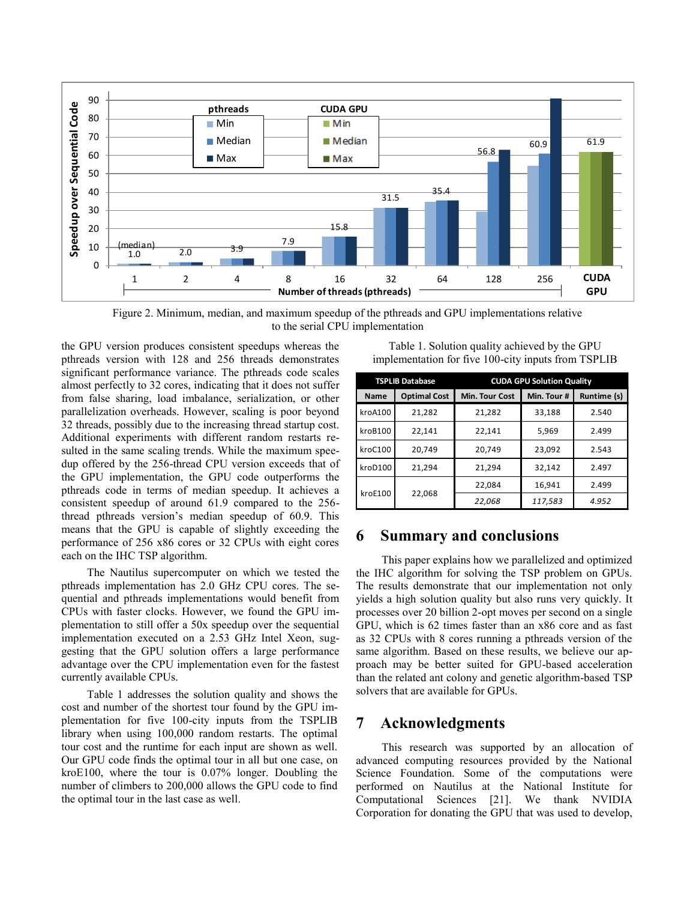

Figure 2. Minimum, median, and maximum speedup of the pthreads and GPU implementations relative to the serial CPU implementation

<span id="page-4-0"></span>the GPU version produces consistent speedups whereas the pthreads version with 128 and 256 threads demonstrates significant performance variance. The pthreads code scales almost perfectly to 32 cores, indicating that it does not suffer from false sharing, load imbalance, serialization, or other parallelization overheads. However, scaling is poor beyond 32 threads, possibly due to the increasing thread startup cost. Additional experiments with different random restarts resulted in the same scaling trends. While the maximum speedup offered by the 256-thread CPU version exceeds that of the GPU implementation, the GPU code outperforms the pthreads code in terms of median speedup. It achieves a consistent speedup of around 61.9 compared to the 256 thread pthreads version's median speedup of 60.9. This means that the GPU is capable of slightly exceeding the performance of 256 x86 cores or 32 CPUs with eight cores each on the IHC TSP algorithm.

The Nautilus supercomputer on which we tested the pthreads implementation has 2.0 GHz CPU cores. The sequential and pthreads implementations would benefit from CPUs with faster clocks. However, we found the GPU implementation to still offer a 50x speedup over the sequential implementation executed on a 2.53 GHz Intel Xeon, suggesting that the GPU solution offers a large performance advantage over the CPU implementation even for the fastest currently available CPUs.

[Table 1](#page-4-1) addresses the solution quality and shows the cost and number of the shortest tour found by the GPU implementation for five 100-city inputs from the TSPLIB library when using 100,000 random restarts. The optimal tour cost and the runtime for each input are shown as well. Our GPU code finds the optimal tour in all but one case, on kroE100, where the tour is 0.07% longer. Doubling the number of climbers to 200,000 allows the GPU code to find the optimal tour in the last case as well.

<span id="page-4-1"></span>

| Table 1. Solution quality achieved by the GPU       |
|-----------------------------------------------------|
| implementation for five 100-city inputs from TSPLIB |

| <b>TSPLIB Database</b> |                     | <b>CUDA GPU Solution Quality</b> |             |             |
|------------------------|---------------------|----------------------------------|-------------|-------------|
| <b>Name</b>            | <b>Optimal Cost</b> | <b>Min. Tour Cost</b>            | Min. Tour # | Runtime (s) |
| kroA100                | 21,282              | 21,282                           | 33,188      | 2.540       |
| kroB100                | 22,141              | 22,141                           | 5,969       | 2.499       |
| kroC100                | 20,749              | 20,749                           | 23,092      | 2.543       |
| kroD100                | 21,294              | 21,294                           | 32,142      | 2.497       |
| kroE100                | 22,068              | 22,084                           | 16,941      | 2.499       |
|                        |                     | 22,068                           | 117,583     | 4.952       |

#### **6 Summary and conclusions**

This paper explains how we parallelized and optimized the IHC algorithm for solving the TSP problem on GPUs. The results demonstrate that our implementation not only yields a high solution quality but also runs very quickly. It processes over 20 billion 2-opt moves per second on a single GPU, which is 62 times faster than an x86 core and as fast as 32 CPUs with 8 cores running a pthreads version of the same algorithm. Based on these results, we believe our approach may be better suited for GPU-based acceleration than the related ant colony and genetic algorithm-based TSP solvers that are available for GPUs.

## **7 Acknowledgments**

This research was supported by an allocation of advanced computing resources provided by the National Science Foundation. Some of the computations were performed on Nautilus at the National Institute for Computational Sciences [\[21\].](#page-5-20) We thank NVIDIA Corporation for donating the GPU that was used to develop,